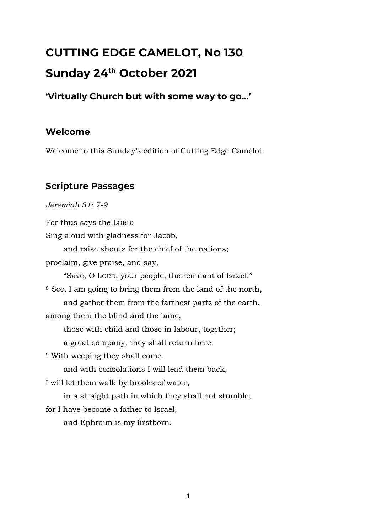# **CUTTING EDGE CAMELOT, No 130 Sunday 24th October 2021**

# **'Virtually Church but with some way to go…'**

# **Welcome**

Welcome to this Sunday's edition of Cutting Edge Camelot.

# **Scripture Passages**

*Jeremiah 31: 7-9*

For thus says the LORD:

Sing aloud with gladness for Jacob,

and raise shouts for the chief of the nations;

proclaim, give praise, and say,

"Save, O LORD, your people, the remnant of Israel."

<sup>8</sup> See, I am going to bring them from the land of the north, and gather them from the farthest parts of the earth,

among them the blind and the lame,

those with child and those in labour, together;

a great company, they shall return here.

<sup>9</sup> With weeping they shall come,

and with consolations I will lead them back,

I will let them walk by brooks of water,

in a straight path in which they shall not stumble;

for I have become a father to Israel,

and Ephraim is my firstborn.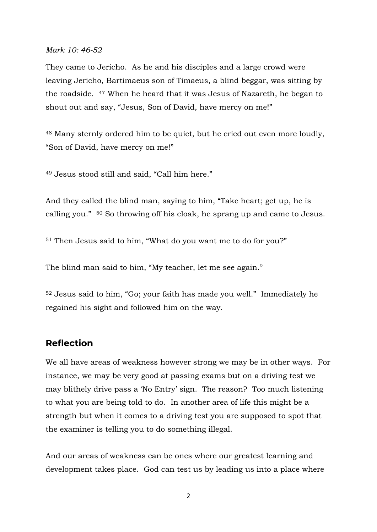#### *Mark 10: 46-52*

They came to Jericho. As he and his disciples and a large crowd were leaving Jericho, Bartimaeus son of Timaeus, a blind beggar, was sitting by the roadside. <sup>47</sup> When he heard that it was Jesus of Nazareth, he began to shout out and say, "Jesus, Son of David, have mercy on me!"

<sup>48</sup> Many sternly ordered him to be quiet, but he cried out even more loudly, "Son of David, have mercy on me!"

<sup>49</sup> Jesus stood still and said, "Call him here."

And they called the blind man, saying to him, "Take heart; get up, he is calling you." <sup>50</sup> So throwing off his cloak, he sprang up and came to Jesus.

<sup>51</sup> Then Jesus said to him, "What do you want me to do for you?"

The blind man said to him, "My teacher, let me see again."

<sup>52</sup> Jesus said to him, "Go; your faith has made you well." Immediately he regained his sight and followed him on the way.

#### **Reflection**

We all have areas of weakness however strong we may be in other ways. For instance, we may be very good at passing exams but on a driving test we may blithely drive pass a 'No Entry' sign. The reason? Too much listening to what you are being told to do. In another area of life this might be a strength but when it comes to a driving test you are supposed to spot that the examiner is telling you to do something illegal.

And our areas of weakness can be ones where our greatest learning and development takes place. God can test us by leading us into a place where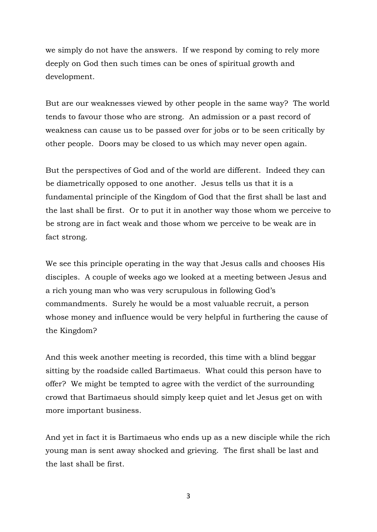we simply do not have the answers. If we respond by coming to rely more deeply on God then such times can be ones of spiritual growth and development.

But are our weaknesses viewed by other people in the same way? The world tends to favour those who are strong. An admission or a past record of weakness can cause us to be passed over for jobs or to be seen critically by other people. Doors may be closed to us which may never open again.

But the perspectives of God and of the world are different. Indeed they can be diametrically opposed to one another. Jesus tells us that it is a fundamental principle of the Kingdom of God that the first shall be last and the last shall be first. Or to put it in another way those whom we perceive to be strong are in fact weak and those whom we perceive to be weak are in fact strong.

We see this principle operating in the way that Jesus calls and chooses His disciples. A couple of weeks ago we looked at a meeting between Jesus and a rich young man who was very scrupulous in following God's commandments. Surely he would be a most valuable recruit, a person whose money and influence would be very helpful in furthering the cause of the Kingdom?

And this week another meeting is recorded, this time with a blind beggar sitting by the roadside called Bartimaeus. What could this person have to offer? We might be tempted to agree with the verdict of the surrounding crowd that Bartimaeus should simply keep quiet and let Jesus get on with more important business.

And yet in fact it is Bartimaeus who ends up as a new disciple while the rich young man is sent away shocked and grieving. The first shall be last and the last shall be first.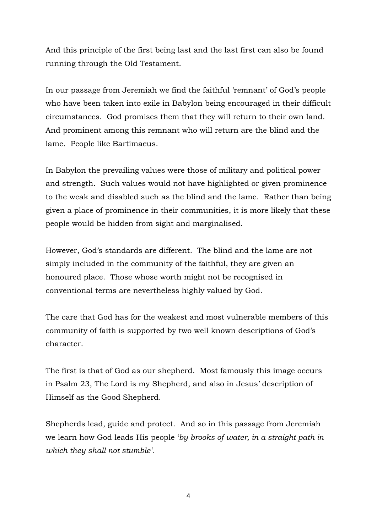And this principle of the first being last and the last first can also be found running through the Old Testament.

In our passage from Jeremiah we find the faithful 'remnant' of God's people who have been taken into exile in Babylon being encouraged in their difficult circumstances. God promises them that they will return to their own land. And prominent among this remnant who will return are the blind and the lame. People like Bartimaeus.

In Babylon the prevailing values were those of military and political power and strength. Such values would not have highlighted or given prominence to the weak and disabled such as the blind and the lame. Rather than being given a place of prominence in their communities, it is more likely that these people would be hidden from sight and marginalised.

However, God's standards are different. The blind and the lame are not simply included in the community of the faithful, they are given an honoured place. Those whose worth might not be recognised in conventional terms are nevertheless highly valued by God.

The care that God has for the weakest and most vulnerable members of this community of faith is supported by two well known descriptions of God's character.

The first is that of God as our shepherd. Most famously this image occurs in Psalm 23, The Lord is my Shepherd, and also in Jesus' description of Himself as the Good Shepherd.

Shepherds lead, guide and protect. And so in this passage from Jeremiah we learn how God leads His people '*by brooks of water, in a straight path in which they shall not stumble'.*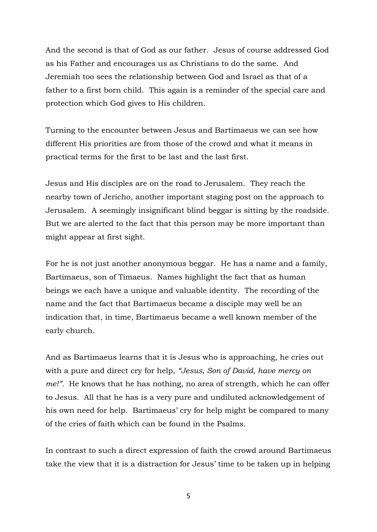And the second is that of God as our father. Jesus of course addressed God as his Father and encourages us as Christians to do the same. And Jeremiah too sees the relationship between God and Israel as that of a father to a first born child. This again is a reminder of the special care and protection which God gives to His children.

Turning to the encounter between Jesus and Bartimaeus we can see how different His priorities are from those of the crowd and what it means in practical terms for the first to be last and the last first.

Jesus and His disciples are on the road to Jerusalem. They reach the nearby town of Jericho, another important staging post on the approach to Jerusalem. A seemingly insignificant blind beggar is sitting by the roadside. But we are alerted to the fact that this person may be more important than might appear at first sight.

For he is not just another anonymous beggar. He has a name and a family, Bartimaeus, son of Timaeus. Names highlight the fact that as human beings we each have a unique and valuable identity. The recording of the name and the fact that Bartimaeus became a disciple may well be an indication that, in time, Bartimaeus became a well known member of the early church.

And as Bartimaeus learns that it is Jesus who is approaching, he cries out with a pure and direct cry for help, *"Jesus, Son of David, have mercy on me!".* He knows that he has nothing, no area of strength, which he can offer to Jesus. All that he has is a very pure and undiluted acknowledgement of his own need for help. Bartimaeus' cry for help might be compared to many of the cries of faith which can be found in the Psalms.

In contrast to such a direct expression of faith the crowd around Bartimaeus take the view that it is a distraction for Jesus' time to be taken up in helping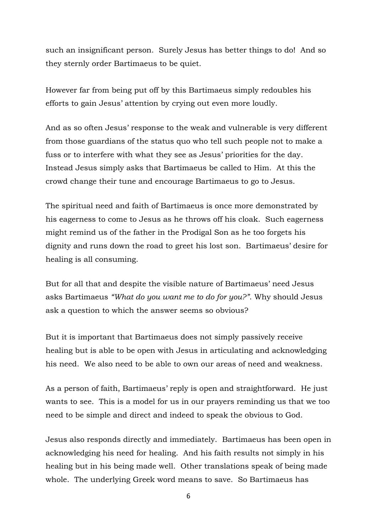such an insignificant person. Surely Jesus has better things to do! And so they sternly order Bartimaeus to be quiet.

However far from being put off by this Bartimaeus simply redoubles his efforts to gain Jesus' attention by crying out even more loudly.

And as so often Jesus' response to the weak and vulnerable is very different from those guardians of the status quo who tell such people not to make a fuss or to interfere with what they see as Jesus' priorities for the day. Instead Jesus simply asks that Bartimaeus be called to Him. At this the crowd change their tune and encourage Bartimaeus to go to Jesus.

The spiritual need and faith of Bartimaeus is once more demonstrated by his eagerness to come to Jesus as he throws off his cloak. Such eagerness might remind us of the father in the Prodigal Son as he too forgets his dignity and runs down the road to greet his lost son. Bartimaeus' desire for healing is all consuming.

But for all that and despite the visible nature of Bartimaeus' need Jesus asks Bartimaeus *"What do you want me to do for you?"*. Why should Jesus ask a question to which the answer seems so obvious?

But it is important that Bartimaeus does not simply passively receive healing but is able to be open with Jesus in articulating and acknowledging his need. We also need to be able to own our areas of need and weakness.

As a person of faith, Bartimaeus' reply is open and straightforward. He just wants to see. This is a model for us in our prayers reminding us that we too need to be simple and direct and indeed to speak the obvious to God.

Jesus also responds directly and immediately. Bartimaeus has been open in acknowledging his need for healing. And his faith results not simply in his healing but in his being made well. Other translations speak of being made whole. The underlying Greek word means to save. So Bartimaeus has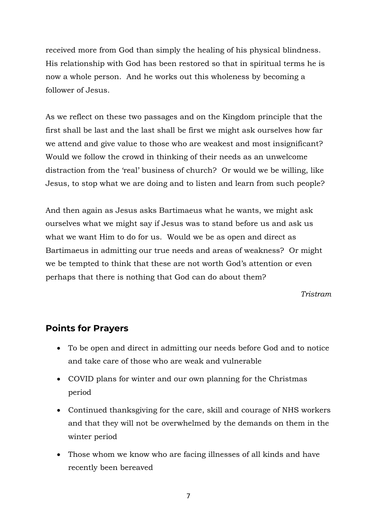received more from God than simply the healing of his physical blindness. His relationship with God has been restored so that in spiritual terms he is now a whole person. And he works out this wholeness by becoming a follower of Jesus.

As we reflect on these two passages and on the Kingdom principle that the first shall be last and the last shall be first we might ask ourselves how far we attend and give value to those who are weakest and most insignificant? Would we follow the crowd in thinking of their needs as an unwelcome distraction from the 'real' business of church? Or would we be willing, like Jesus, to stop what we are doing and to listen and learn from such people?

And then again as Jesus asks Bartimaeus what he wants, we might ask ourselves what we might say if Jesus was to stand before us and ask us what we want Him to do for us. Would we be as open and direct as Bartimaeus in admitting our true needs and areas of weakness? Or might we be tempted to think that these are not worth God's attention or even perhaps that there is nothing that God can do about them?

*Tristram*

#### **Points for Prayers**

- To be open and direct in admitting our needs before God and to notice and take care of those who are weak and vulnerable
- COVID plans for winter and our own planning for the Christmas period
- Continued thanksgiving for the care, skill and courage of NHS workers and that they will not be overwhelmed by the demands on them in the winter period
- Those whom we know who are facing illnesses of all kinds and have recently been bereaved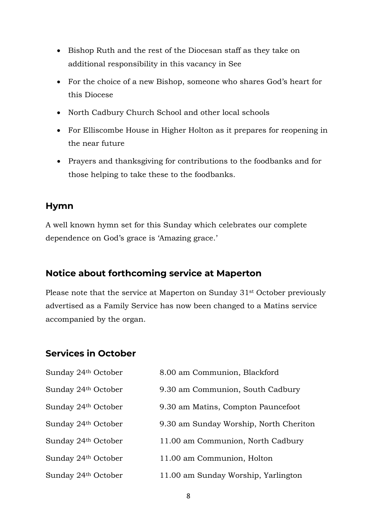- Bishop Ruth and the rest of the Diocesan staff as they take on additional responsibility in this vacancy in See
- For the choice of a new Bishop, someone who shares God's heart for this Diocese
- North Cadbury Church School and other local schools
- For Elliscombe House in Higher Holton as it prepares for reopening in the near future
- Prayers and thanksgiving for contributions to the foodbanks and for those helping to take these to the foodbanks.

#### **Hymn**

A well known hymn set for this Sunday which celebrates our complete dependence on God's grace is 'Amazing grace.'

## **Notice about forthcoming service at Maperton**

Please note that the service at Maperton on Sunday 31<sup>st</sup> October previously advertised as a Family Service has now been changed to a Matins service accompanied by the organ.

#### **Services in October**

| Sunday 24th October | 8.00 am Communion, Blackford           |
|---------------------|----------------------------------------|
| Sunday 24th October | 9.30 am Communion, South Cadbury       |
| Sunday 24th October | 9.30 am Matins, Compton Pauncefoot     |
| Sunday 24th October | 9.30 am Sunday Worship, North Cheriton |
| Sunday 24th October | 11.00 am Communion, North Cadbury      |
| Sunday 24th October | 11.00 am Communion, Holton             |
| Sunday 24th October | 11.00 am Sunday Worship, Yarlington    |